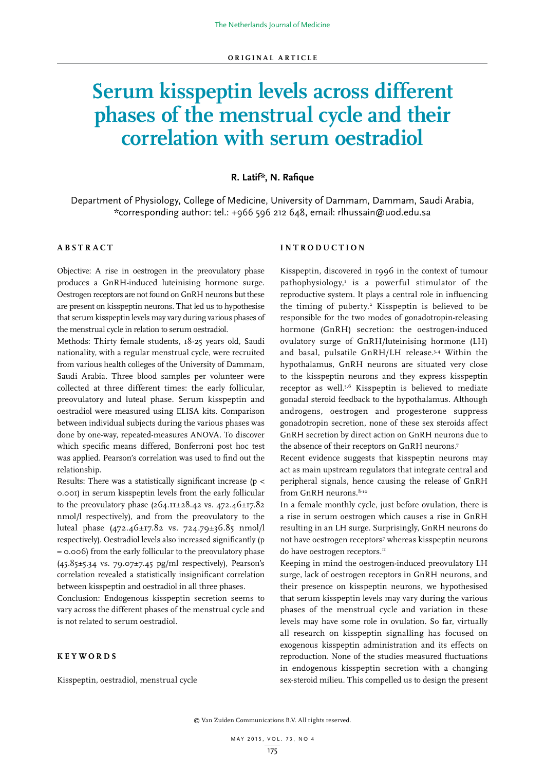# **Serum kisspeptin levels across different phases of the menstrual cycle and their correlation with serum oestradiol**

# **R. Latif\*, N. Rafique**

Department of Physiology, College of Medicine, University of Dammam, Dammam, Saudi Arabia, \*corresponding author: tel.: +966 596 212 648, email: rlhussain@uod.edu.sa

# **A B S T R A C T**

Objective: A rise in oestrogen in the preovulatory phase produces a GnRH-induced luteinising hormone surge. Oestrogen receptors are not found on GnRH neurons but these are present on kisspeptin neurons. That led us to hypothesise that serum kisspeptin levels may vary during various phases of the menstrual cycle in relation to serum oestradiol.

Methods: Thirty female students, 18-25 years old, Saudi nationality, with a regular menstrual cycle, were recruited from various health colleges of the University of Dammam, Saudi Arabia. Three blood samples per volunteer were collected at three different times: the early follicular, preovulatory and luteal phase. Serum kisspeptin and oestradiol were measured using ELISA kits. Comparison between individual subjects during the various phases was done by one-way, repeated-measures ANOVA. To discover which specific means differed, Bonferroni post hoc test was applied. Pearson's correlation was used to find out the relationship.

Results: There was a statistically significant increase (p < 0.001) in serum kisspeptin levels from the early follicular to the preovulatory phase (264.11±28.42 vs. 472.46±17.82 nmol/l respectively), and from the preovulatory to the luteal phase (472.46±17.82 vs. 724.79±36.85 nmol/l respectively). Oestradiol levels also increased significantly (p = 0.006) from the early follicular to the preovulatory phase (45.85±5.34 vs. 79.07±7.45 pg/ml respectively), Pearson's correlation revealed a statistically insignificant correlation between kisspeptin and oestradiol in all three phases.

Conclusion: Endogenous kisspeptin secretion seems to vary across the different phases of the menstrual cycle and is not related to serum oestradiol.

# **KEYWORDS**

Kisspeptin, oestradiol, menstrual cycle

# **INTRODUCTION**

Kisspeptin, discovered in 1996 in the context of tumour pathophysiology,<sup>1</sup> is a powerful stimulator of the reproductive system. It plays a central role in influencing the timing of puberty.<sup>2</sup> Kisspeptin is believed to be responsible for the two modes of gonadotropin-releasing hormone (GnRH) secretion: the oestrogen-induced ovulatory surge of GnRH/luteinising hormone (LH) and basal, pulsatile GnRH/LH release.3,4 Within the hypothalamus, GnRH neurons are situated very close to the kisspeptin neurons and they express kisspeptin receptor as well.5,6 Kisspeptin is believed to mediate gonadal steroid feedback to the hypothalamus. Although androgens, oestrogen and progesterone suppress gonadotropin secretion, none of these sex steroids affect GnRH secretion by direct action on GnRH neurons due to the absence of their receptors on GnRH neurons.7

Recent evidence suggests that kisspeptin neurons may act as main upstream regulators that integrate central and peripheral signals, hence causing the release of GnRH from GnRH neurons.<sup>8-10</sup>

In a female monthly cycle, just before ovulation, there is a rise in serum oestrogen which causes a rise in GnRH resulting in an LH surge. Surprisingly, GnRH neurons do not have oestrogen receptors<sup>7</sup> whereas kisspeptin neurons do have oestrogen receptors.<sup>11</sup>

Keeping in mind the oestrogen-induced preovulatory LH surge, lack of oestrogen receptors in GnRH neurons, and their presence on kisspeptin neurons, we hypothesised that serum kisspeptin levels may vary during the various phases of the menstrual cycle and variation in these levels may have some role in ovulation. So far, virtually all research on kisspeptin signalling has focused on exogenous kisspeptin administration and its effects on reproduction. None of the studies measured fluctuations in endogenous kisspeptin secretion with a changing sex-steroid milieu. This compelled us to design the present

© Van Zuiden Communications B.V. All rights reserved.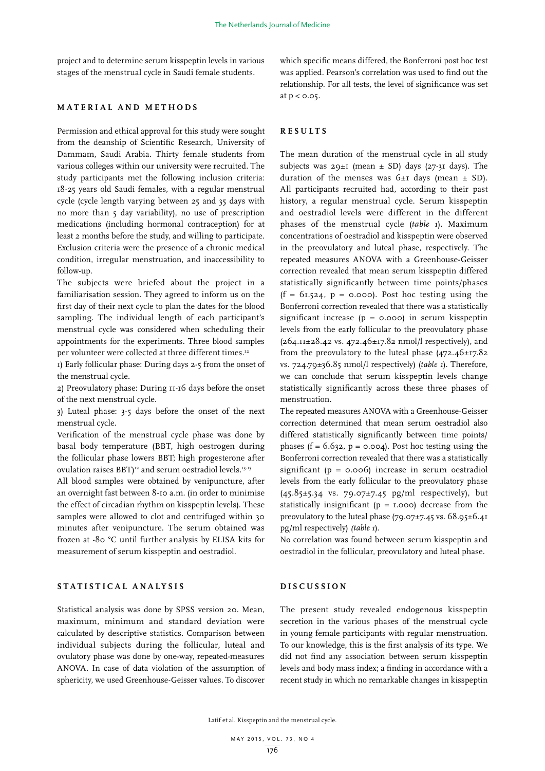project and to determine serum kisspeptin levels in various stages of the menstrual cycle in Saudi female students.

### **MATERIAL AND METHODS**

Permission and ethical approval for this study were sought from the deanship of Scientific Research, University of Dammam, Saudi Arabia. Thirty female students from various colleges within our university were recruited. The study participants met the following inclusion criteria: 18-25 years old Saudi females, with a regular menstrual cycle (cycle length varying between 25 and 35 days with no more than 5 day variability), no use of prescription medications (including hormonal contraception) for at least 2 months before the study, and willing to participate. Exclusion criteria were the presence of a chronic medical condition, irregular menstruation, and inaccessibility to follow-up.

The subjects were briefed about the project in a familiarisation session. They agreed to inform us on the first day of their next cycle to plan the dates for the blood sampling. The individual length of each participant's menstrual cycle was considered when scheduling their appointments for the experiments. Three blood samples per volunteer were collected at three different times.<sup>12</sup>

1) Early follicular phase: During days 2-5 from the onset of the menstrual cycle.

2) Preovulatory phase: During 11-16 days before the onset of the next menstrual cycle.

3) Luteal phase: 3-5 days before the onset of the next menstrual cycle.

Verification of the menstrual cycle phase was done by basal body temperature (BBT, high oestrogen during the follicular phase lowers BBT; high progesterone after ovulation raises BBT)<sup>12</sup> and serum oestradiol levels.<sup>13-15</sup>

All blood samples were obtained by venipuncture, after an overnight fast between 8-10 a.m. (in order to minimise the effect of circadian rhythm on kisspeptin levels). These samples were allowed to clot and centrifuged within 30 minutes after venipuncture. The serum obtained was frozen at -80 °C until further analysis by ELISA kits for measurement of serum kisspeptin and oestradiol.

# **STATISTICAL ANALYSIS**

Statistical analysis was done by SPSS version 20. Mean, maximum, minimum and standard deviation were calculated by descriptive statistics. Comparison between individual subjects during the follicular, luteal and ovulatory phase was done by one-way, repeated-measures ANOVA. In case of data violation of the assumption of sphericity, we used Greenhouse-Geisser values. To discover

which specific means differed, the Bonferroni post hoc test was applied. Pearson's correlation was used to find out the relationship. For all tests, the level of significance was set at  $p < 0.05$ .

#### **RESULTS**

The mean duration of the menstrual cycle in all study subjects was  $29 \pm i$  (mean  $\pm$  SD) days (27-31 days). The duration of the menses was  $6\pm i$  days (mean  $\pm$  SD). All participants recruited had, according to their past history, a regular menstrual cycle. Serum kisspeptin and oestradiol levels were different in the different phases of the menstrual cycle (*table 1*). Maximum concentrations of oestradiol and kisspeptin were observed in the preovulatory and luteal phase, respectively. The repeated measures ANOVA with a Greenhouse-Geisser correction revealed that mean serum kisspeptin differed statistically significantly between time points/phases  $(f = 61.524, p = 0.000)$ . Post hoc testing using the Bonferroni correction revealed that there was a statistically significant increase  $(p = 0.000)$  in serum kisspeptin levels from the early follicular to the preovulatory phase  $(264.11 \pm 28.42 \text{ vs. } 472.46 \pm 17.82 \text{ nmol/l respectively})$ , and from the preovulatory to the luteal phase  $(472.46 \pm 17.82)$ vs. 724.79±36.85 nmol/l respectively) (*table 1*). Therefore, we can conclude that serum kisspeptin levels change statistically significantly across these three phases of menstruation.

The repeated measures ANOVA with a Greenhouse-Geisser correction determined that mean serum oestradiol also differed statistically significantly between time points/ phases ( $f = 6.632$ ,  $p = 0.004$ ). Post hoc testing using the Bonferroni correction revealed that there was a statistically significant ( $p = 0.006$ ) increase in serum oestradiol levels from the early follicular to the preovulatory phase  $(45.85\pm5.34 \text{ vs. } 79.07\pm7.45 \text{ pg/ml respectively})$ , but statistically insignificant ( $p = I.000$ ) decrease from the preovulatory to the luteal phase  $(79.07\pm7.45 \text{ vs. } 68.95\pm6.41)$ pg/ml respectively) *(table 1*).

No correlation was found between serum kisspeptin and oestradiol in the follicular, preovulatory and luteal phase.

## **DISCUSSION**

The present study revealed endogenous kisspeptin secretion in the various phases of the menstrual cycle in young female participants with regular menstruation. To our knowledge, this is the first analysis of its type. We did not find any association between serum kisspeptin levels and body mass index; a finding in accordance with a recent study in which no remarkable changes in kisspeptin

Latif et al. Kisspeptin and the menstrual cycle.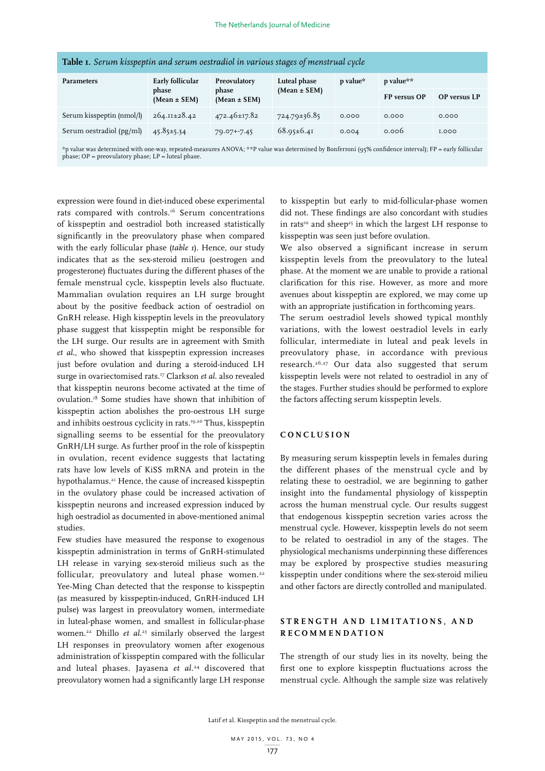| <b>Table 1.</b> Serum kisspeptin and serum oestradiol in various stages of menstrual cycle |                                           |                                  |          |              |                     |
|--------------------------------------------------------------------------------------------|-------------------------------------------|----------------------------------|----------|--------------|---------------------|
| Early follicular<br>phase<br>$(Mean \pm SEM)$                                              | Preovulatory<br>phase<br>$(Mean \pm SEM)$ | Luteal phase<br>$(Mean \pm SEM)$ | p value* | p value**    |                     |
|                                                                                            |                                           |                                  |          | FP versus OP | <b>OP</b> versus LP |
| $264.11 \pm 28.42$                                                                         | 472.46±17.82                              | $724.79 \pm 36.85$               | 0.000    | 0.000        | 0.000               |
| $45.85 \pm 5.34$                                                                           | $79.07 + 7.45$                            | $68.95 \pm 6.41$                 | 0.004    | 0.006        | <b>I.000</b>        |
|                                                                                            |                                           |                                  |          |              |                     |

\*p value was determined with one-way, repeated-measures ANOVA; \*\*P value was determined by Bonferroni (95% confidence interval); FP = early follicular<br>phase; OP = preovulatory phase; LP = luteal phase.

expression were found in diet-induced obese experimental rats compared with controls.<sup>16</sup> Serum concentrations of kisspeptin and oestradiol both increased statistically significantly in the preovulatory phase when compared with the early follicular phase (*table 1*). Hence, our study indicates that as the sex-steroid milieu (oestrogen and progesterone) fluctuates during the different phases of the female menstrual cycle, kisspeptin levels also fluctuate. Mammalian ovulation requires an LH surge brought about by the positive feedback action of oestradiol on GnRH release. High kisspeptin levels in the preovulatory phase suggest that kisspeptin might be responsible for the LH surge. Our results are in agreement with Smith *et al*., who showed that kisspeptin expression increases just before ovulation and during a steroid-induced LH surge in ovariectomised rats.17 Clarkson *et al*. also revealed that kisspeptin neurons become activated at the time of ovulation.18 Some studies have shown that inhibition of kisspeptin action abolishes the pro-oestrous LH surge and inhibits oestrous cyclicity in rats.19,20 Thus, kisspeptin signalling seems to be essential for the preovulatory GnRH/LH surge. As further proof in the role of kisspeptin in ovulation, recent evidence suggests that lactating rats have low levels of KiSS mRNA and protein in the hypothalamus.<sup>21</sup> Hence, the cause of increased kisspeptin in the ovulatory phase could be increased activation of kisspeptin neurons and increased expression induced by high oestradiol as documented in above-mentioned animal studies.

Few studies have measured the response to exogenous kisspeptin administration in terms of GnRH-stimulated LH release in varying sex-steroid milieus such as the follicular, preovulatory and luteal phase women.<sup>22</sup> Yee-Ming Chan detected that the response to kisspeptin (as measured by kisspeptin-induced, GnRH-induced LH pulse) was largest in preovulatory women, intermediate in luteal-phase women, and smallest in follicular-phase women.22 Dhillo *et al*. 23 similarly observed the largest LH responses in preovulatory women after exogenous administration of kisspeptin compared with the follicular and luteal phases. Jayasena *et al*. 24 discovered that preovulatory women had a significantly large LH response

to kisspeptin but early to mid-follicular-phase women did not. These findings are also concordant with studies in rats<sup>10</sup> and sheep<sup>25</sup> in which the largest LH response to kisspeptin was seen just before ovulation.

We also observed a significant increase in serum kisspeptin levels from the preovulatory to the luteal phase. At the moment we are unable to provide a rational clarification for this rise. However, as more and more avenues about kisspeptin are explored, we may come up with an appropriate justification in forthcoming years.

The serum oestradiol levels showed typical monthly variations, with the lowest oestradiol levels in early follicular, intermediate in luteal and peak levels in preovulatory phase, in accordance with previous research.26,27 Our data also suggested that serum kisspeptin levels were not related to oestradiol in any of the stages. Further studies should be performed to explore the factors affecting serum kisspeptin levels.

#### **CONCLUSION**

By measuring serum kisspeptin levels in females during the different phases of the menstrual cycle and by relating these to oestradiol, we are beginning to gather insight into the fundamental physiology of kisspeptin across the human menstrual cycle. Our results suggest that endogenous kisspeptin secretion varies across the menstrual cycle. However, kisspeptin levels do not seem to be related to oestradiol in any of the stages. The physiological mechanisms underpinning these differences may be explored by prospective studies measuring kisspeptin under conditions where the sex-steroid milieu and other factors are directly controlled and manipulated.

## STRENGTH AND LIMITATIONS, AND **RECOMMENDATION**

The strength of our study lies in its novelty, being the first one to explore kisspeptin fluctuations across the menstrual cycle. Although the sample size was relatively

Latif et al. Kisspeptin and the menstrual cycle.